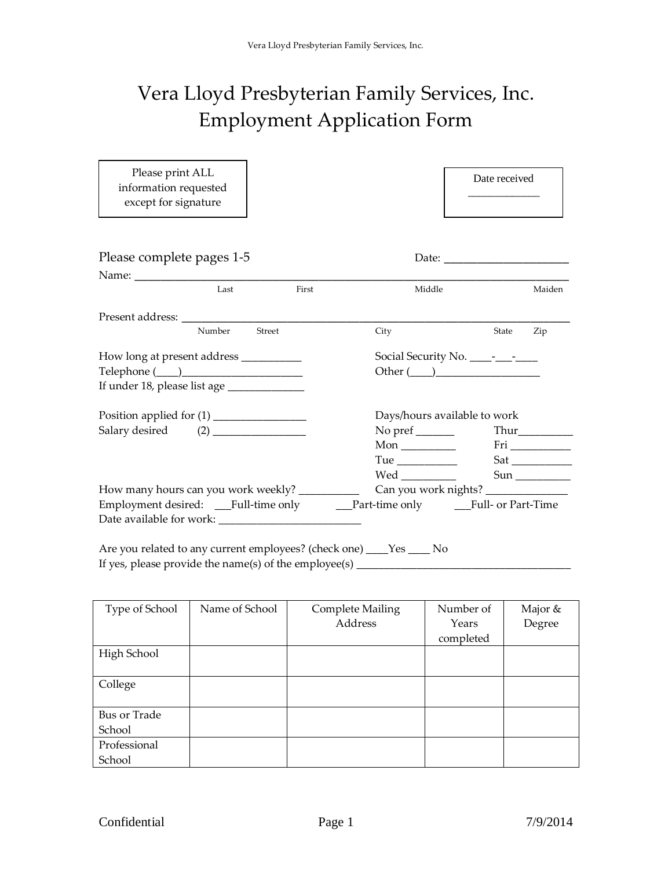## Vera Lloyd Presbyterian Family Services, Inc. Employment Application Form

| Please print ALL<br>information requested<br>except for signature                 |        |                              | Date received                       |
|-----------------------------------------------------------------------------------|--------|------------------------------|-------------------------------------|
| Please complete pages 1-5                                                         |        |                              |                                     |
|                                                                                   |        |                              |                                     |
| Last                                                                              | First  | Middle                       | Maiden                              |
|                                                                                   |        |                              |                                     |
| Number                                                                            | Street | City                         | State<br>Zip                        |
| How long at present address ____________                                          |        |                              |                                     |
|                                                                                   |        |                              | Other $(\_\_)$                      |
| If under 18, please list age ______________                                       |        |                              |                                     |
| Position applied for (1) ________________                                         |        | Days/hours available to work |                                     |
|                                                                                   |        | No pref $\_\_$               |                                     |
|                                                                                   |        | Mon $\_\_$                   |                                     |
|                                                                                   |        |                              |                                     |
|                                                                                   |        |                              |                                     |
| How many hours can you work weekly? __________                                    |        |                              | Can you work nights? ______________ |
| Employment desired: ___Full-time only _____Part-time only _____Full- or Part-Time |        |                              |                                     |
|                                                                                   |        |                              |                                     |
| $\Lambda$ ro vou related to any current employees? (check ano) $V_{0c}$ No        |        |                              |                                     |

Are you related to any current employees? (check one) \_\_\_\_Yes \_\_\_\_ No If yes, please provide the name(s) of the employee(s) \_\_\_\_\_\_\_\_\_\_\_\_\_\_\_\_\_\_\_\_\_\_\_\_\_\_\_

| Type of School | Name of School | <b>Complete Mailing</b> | Number of | Major & |
|----------------|----------------|-------------------------|-----------|---------|
|                |                | Address                 | Years     | Degree  |
|                |                |                         | completed |         |
| High School    |                |                         |           |         |
|                |                |                         |           |         |
| College        |                |                         |           |         |
|                |                |                         |           |         |
| Bus or Trade   |                |                         |           |         |
| School         |                |                         |           |         |
| Professional   |                |                         |           |         |
| School         |                |                         |           |         |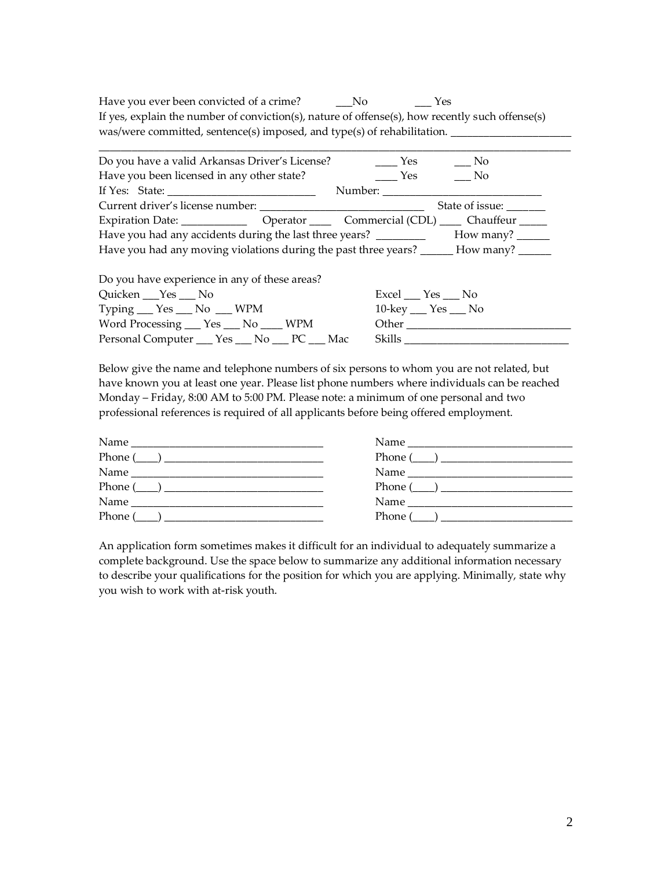Have you ever been convicted of a crime? \_\_\_\_No \_\_\_\_\_Yes If yes, explain the number of conviction(s), nature of offense(s), how recently such offense(s) was/were committed, sentence(s) imposed, and type(s) of rehabilitation. \_\_\_\_\_\_\_\_

| Do you have a valid Arkansas Driver's License?                                           | Yes<br>No                                   |
|------------------------------------------------------------------------------------------|---------------------------------------------|
| Have you been licensed in any other state?                                               | No.<br>Yes                                  |
|                                                                                          | Number:                                     |
|                                                                                          | State of issue: ______                      |
|                                                                                          |                                             |
|                                                                                          |                                             |
| Have you had any moving violations during the past three years? _______ How many? ______ |                                             |
| Do you have experience in any of these areas?                                            |                                             |
| Quicken ___ Yes ___ No                                                                   | $\text{Excel}$ $\_\text{Yes}$ $\_\text{No}$ |
| Typing $\_\_\$ Yes $\_\_\$ No $\_\_\$ WPM                                                | $10$ -key $\_\$ Yes $\_\$ No                |
| Word Processing ___ Yes ___ No ____ WPM                                                  | Other                                       |
| Personal Computer ___ Yes ___ No ___ PC ___ Mac                                          | <b>Skills</b>                               |

Below give the name and telephone numbers of six persons to whom you are not related, but have known you at least one year. Please list phone numbers where individuals can be reached Monday – Friday, 8:00 AM to 5:00 PM. Please note: a minimum of one personal and two professional references is required of all applicants before being offered employment.

| Name<br><u> 1980 - Jan James James Jan James James James James James James James James James James James James James James</u> |
|--------------------------------------------------------------------------------------------------------------------------------|
| Phone $(\_\_)$                                                                                                                 |
|                                                                                                                                |
| $Phone (\_ )$                                                                                                                  |
| Name                                                                                                                           |
| Phone (<br>$\overline{\phantom{a}}$ , and the contract of $\overline{\phantom{a}}$                                             |
|                                                                                                                                |

An application form sometimes makes it difficult for an individual to adequately summarize a complete background. Use the space below to summarize any additional information necessary to describe your qualifications for the position for which you are applying. Minimally, state why you wish to work with at-risk youth.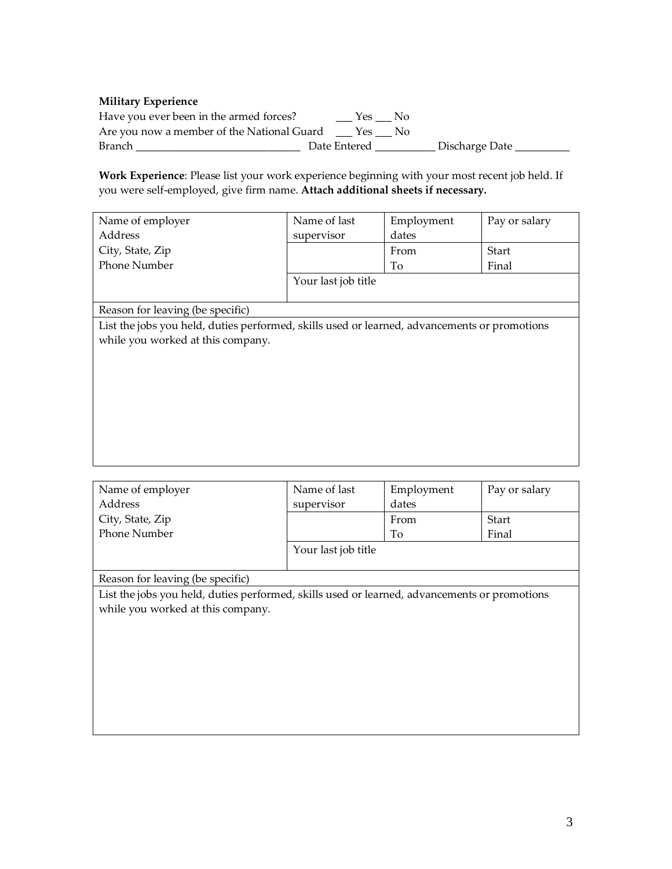## **Military Experience**

| Have you ever been in the armed forces?    |              | Yes No |                  |  |
|--------------------------------------------|--------------|--------|------------------|--|
| Are you now a member of the National Guard |              | Yes No |                  |  |
| Branch                                     | Date Entered |        | _ Discharge Date |  |

**Work Experience**: Please list your work experience beginning with your most recent job held. If you were self-employed, give firm name. **Attach additional sheets if necessary.**

| Name of employer                                                                             | Name of last        | Employment | Pay or salary |
|----------------------------------------------------------------------------------------------|---------------------|------------|---------------|
| Address                                                                                      | supervisor          | dates      |               |
| City, State, Zip                                                                             |                     | From       | Start         |
| <b>Phone Number</b>                                                                          |                     | To         | Final         |
|                                                                                              | Your last job title |            |               |
|                                                                                              |                     |            |               |
| Reason for leaving (be specific)                                                             |                     |            |               |
| List the jobs you held, duties performed, skills used or learned, advancements or promotions |                     |            |               |
| while you worked at this company.                                                            |                     |            |               |
|                                                                                              |                     |            |               |
|                                                                                              |                     |            |               |
|                                                                                              |                     |            |               |
|                                                                                              |                     |            |               |
|                                                                                              |                     |            |               |
|                                                                                              |                     |            |               |
|                                                                                              |                     |            |               |
|                                                                                              |                     |            |               |

| Name of employer                                                                             | Name of last        | Employment | Pay or salary |
|----------------------------------------------------------------------------------------------|---------------------|------------|---------------|
| Address                                                                                      | supervisor          | dates      |               |
| City, State, Zip                                                                             |                     | From       | Start         |
| <b>Phone Number</b>                                                                          |                     | To         | Final         |
|                                                                                              | Your last job title |            |               |
|                                                                                              |                     |            |               |
| Reason for leaving (be specific)                                                             |                     |            |               |
| List the jobs you held, duties performed, skills used or learned, advancements or promotions |                     |            |               |
| while you worked at this company.                                                            |                     |            |               |
|                                                                                              |                     |            |               |
|                                                                                              |                     |            |               |
|                                                                                              |                     |            |               |
|                                                                                              |                     |            |               |
|                                                                                              |                     |            |               |
|                                                                                              |                     |            |               |
|                                                                                              |                     |            |               |
|                                                                                              |                     |            |               |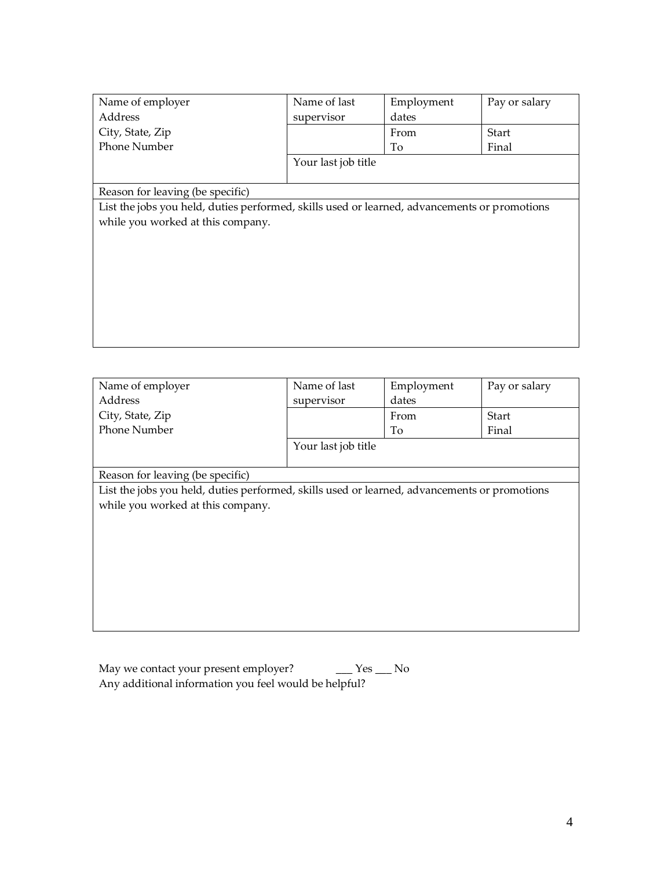| Name of employer                                                                             | Name of last        | Employment | Pay or salary |
|----------------------------------------------------------------------------------------------|---------------------|------------|---------------|
| Address                                                                                      | supervisor          | dates      |               |
| City, State, Zip                                                                             |                     | From       | Start         |
| <b>Phone Number</b>                                                                          |                     | To         | Final         |
|                                                                                              | Your last job title |            |               |
|                                                                                              |                     |            |               |
| Reason for leaving (be specific)                                                             |                     |            |               |
| List the jobs you held, duties performed, skills used or learned, advancements or promotions |                     |            |               |
| while you worked at this company.                                                            |                     |            |               |
|                                                                                              |                     |            |               |
|                                                                                              |                     |            |               |
|                                                                                              |                     |            |               |
|                                                                                              |                     |            |               |
|                                                                                              |                     |            |               |
|                                                                                              |                     |            |               |
|                                                                                              |                     |            |               |
|                                                                                              |                     |            |               |

| Name of employer                                                                             | Name of last        | Employment | Pay or salary |
|----------------------------------------------------------------------------------------------|---------------------|------------|---------------|
| Address                                                                                      | supervisor          | dates      |               |
| City, State, Zip                                                                             |                     | From       | Start         |
| <b>Phone Number</b>                                                                          |                     | To         | Final         |
|                                                                                              | Your last job title |            |               |
|                                                                                              |                     |            |               |
| Reason for leaving (be specific)                                                             |                     |            |               |
| List the jobs you held, duties performed, skills used or learned, advancements or promotions |                     |            |               |
| while you worked at this company.                                                            |                     |            |               |
|                                                                                              |                     |            |               |
|                                                                                              |                     |            |               |
|                                                                                              |                     |            |               |
|                                                                                              |                     |            |               |
|                                                                                              |                     |            |               |
|                                                                                              |                     |            |               |
|                                                                                              |                     |            |               |
|                                                                                              |                     |            |               |

| May we contact your present employer?                 | Yes __ No |  |
|-------------------------------------------------------|-----------|--|
| Any additional information you feel would be helpful? |           |  |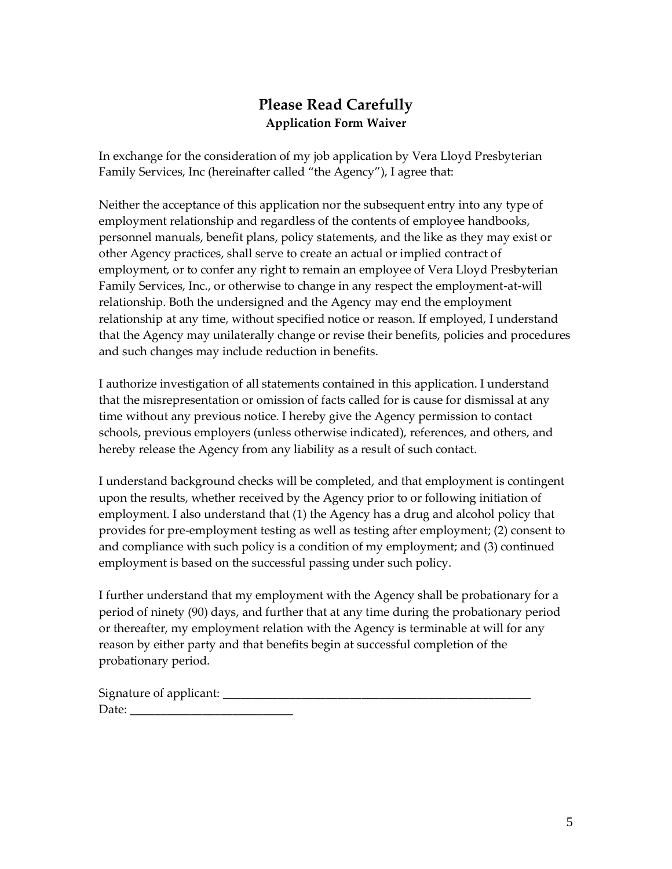## **Please Read Carefully Application Form Waiver**

In exchange for the consideration of my job application by Vera Lloyd Presbyterian Family Services, Inc (hereinafter called "the Agency"), I agree that:

Neither the acceptance of this application nor the subsequent entry into any type of employment relationship and regardless of the contents of employee handbooks, personnel manuals, benefit plans, policy statements, and the like as they may exist or other Agency practices, shall serve to create an actual or implied contract of employment, or to confer any right to remain an employee of Vera Lloyd Presbyterian Family Services, Inc., or otherwise to change in any respect the employment-at-will relationship. Both the undersigned and the Agency may end the employment relationship at any time, without specified notice or reason. If employed, I understand that the Agency may unilaterally change or revise their benefits, policies and procedures and such changes may include reduction in benefits.

I authorize investigation of all statements contained in this application. I understand that the misrepresentation or omission of facts called for is cause for dismissal at any time without any previous notice. I hereby give the Agency permission to contact schools, previous employers (unless otherwise indicated), references, and others, and hereby release the Agency from any liability as a result of such contact.

I understand background checks will be completed, and that employment is contingent upon the results, whether received by the Agency prior to or following initiation of employment. I also understand that (1) the Agency has a drug and alcohol policy that provides for pre-employment testing as well as testing after employment; (2) consent to and compliance with such policy is a condition of my employment; and (3) continued employment is based on the successful passing under such policy.

I further understand that my employment with the Agency shall be probationary for a period of ninety (90) days, and further that at any time during the probationary period or thereafter, my employment relation with the Agency is terminable at will for any reason by either party and that benefits begin at successful completion of the probationary period.

Signature of applicant: \_\_\_\_\_\_\_\_\_\_\_\_\_\_\_\_\_\_\_\_\_\_\_\_\_\_\_\_\_\_\_\_\_\_\_\_\_\_\_\_\_\_\_\_\_\_\_\_\_\_\_ Date: \_\_\_\_\_\_\_\_\_\_\_\_\_\_\_\_\_\_\_\_\_\_\_\_\_\_\_